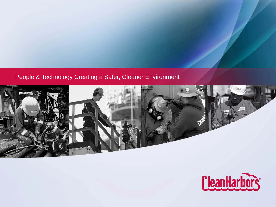#### People & Technology Creating a Safer, Cleaner Environment



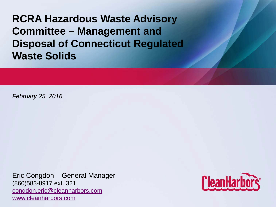**RCRA Hazardous Waste Advisory Committee – Management and Disposal of Connecticut Regulated Waste Solids**

*February 25, 2016*

Eric Congdon – General Manager (860)583-8917 ext. 321 [congdon.eric@cleanharbors.com](mailto:congdon.eric@cleanharbors.com) [www.cleanharbors.com](http://www.cleanharbors.com/)

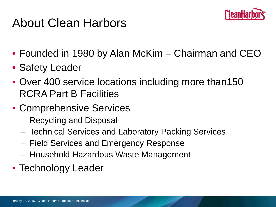

#### About Clean Harbors

- Founded in 1980 by Alan McKim Chairman and CEO
- Safety Leader
- Over 400 service locations including more than150 RCRA Part B Facilities
- Comprehensive Services
	- Recycling and Disposal
	- Technical Services and Laboratory Packing Services
	- Field Services and Emergency Response
	- Household Hazardous Waste Management
- Technology Leader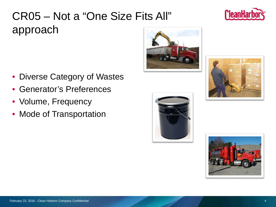#### February 23, 2016 - Clean Harbors Company Confidential 4

#### CR05 – Not a "One Size Fits All" approach

- Diverse Category of Wastes
- Generator's Preferences
- Volume, Frequency
- Mode of Transportation







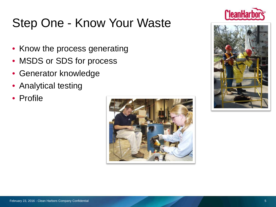# Step One - Know Your Waste

- Know the process generating
- MSDS or SDS for process
- Generator knowledge
- Analytical testing
- Profile





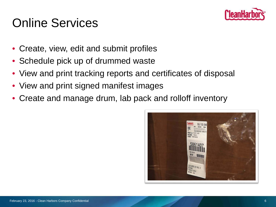

## Online Services

- Create, view, edit and submit profiles
- Schedule pick up of drummed waste
- View and print tracking reports and certificates of disposal
- View and print signed manifest images
- Create and manage drum, lab pack and rolloff inventory

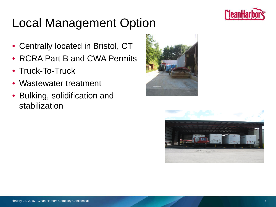

# Local Management Option

- Centrally located in Bristol, CT
- RCRA Part B and CWA Permits
- Truck-To-Truck
- Wastewater treatment
- Bulking, solidification and stabilization



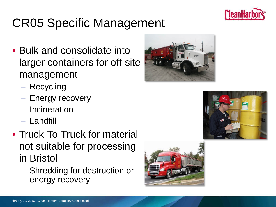

# CR05 Specific Management

- Bulk and consolidate into larger containers for off-site management
	- Recycling
	- Energy recovery
	- **Incineration**
	- Landfill
- Truck-To-Truck for material not suitable for processing in Bristol
	- Shredding for destruction or energy recovery





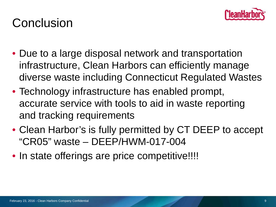

### **Conclusion**

- Due to a large disposal network and transportation infrastructure, Clean Harbors can efficiently manage diverse waste including Connecticut Regulated Wastes
- Technology infrastructure has enabled prompt, accurate service with tools to aid in waste reporting and tracking requirements
- Clean Harbor's is fully permitted by CT DEEP to accept "CR05" waste – DEEP/HWM-017-004
- In state offerings are price competitive!!!!